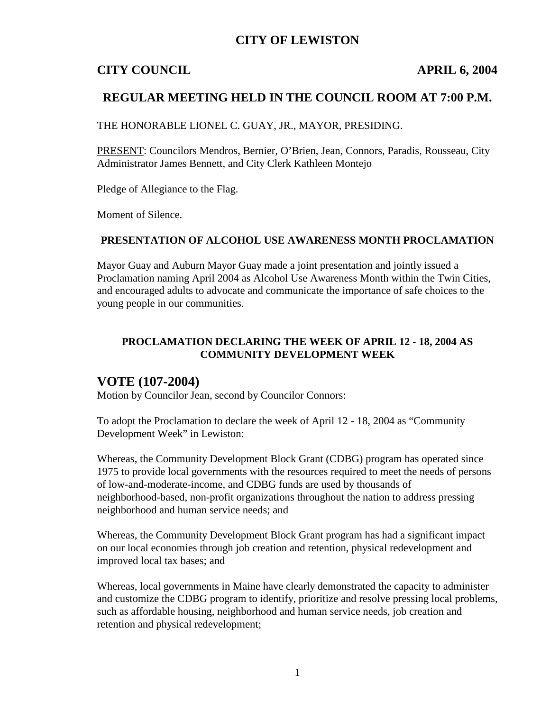## **CITY OF LEWISTON**

## **CITY COUNCIL APRIL 6, 2004**

## **REGULAR MEETING HELD IN THE COUNCIL ROOM AT 7:00 P.M.**

THE HONORABLE LIONEL C. GUAY, JR., MAYOR, PRESIDING.

PRESENT: Councilors Mendros, Bernier, O'Brien, Jean, Connors, Paradis, Rousseau, City Administrator James Bennett, and City Clerk Kathleen Montejo

Pledge of Allegiance to the Flag.

Moment of Silence.

#### **PRESENTATION OF ALCOHOL USE AWARENESS MONTH PROCLAMATION**

Mayor Guay and Auburn Mayor Guay made a joint presentation and jointly issued a Proclamation naming April 2004 as Alcohol Use Awareness Month within the Twin Cities, and encouraged adults to advocate and communicate the importance of safe choices to the young people in our communities.

#### **PROCLAMATION DECLARING THE WEEK OF APRIL 12 - 18, 2004 AS COMMUNITY DEVELOPMENT WEEK**

## **VOTE (107-2004)**

Motion by Councilor Jean, second by Councilor Connors:

To adopt the Proclamation to declare the week of April 12 - 18, 2004 as "Community Development Week" in Lewiston:

Whereas, the Community Development Block Grant (CDBG) program has operated since 1975 to provide local governments with the resources required to meet the needs of persons of low-and-moderate-income, and CDBG funds are used by thousands of neighborhood-based, non-profit organizations throughout the nation to address pressing neighborhood and human service needs; and

Whereas, the Community Development Block Grant program has had a significant impact on our local economies through job creation and retention, physical redevelopment and improved local tax bases; and

Whereas, local governments in Maine have clearly demonstrated the capacity to administer and customize the CDBG program to identify, prioritize and resolve pressing local problems, such as affordable housing, neighborhood and human service needs, job creation and retention and physical redevelopment;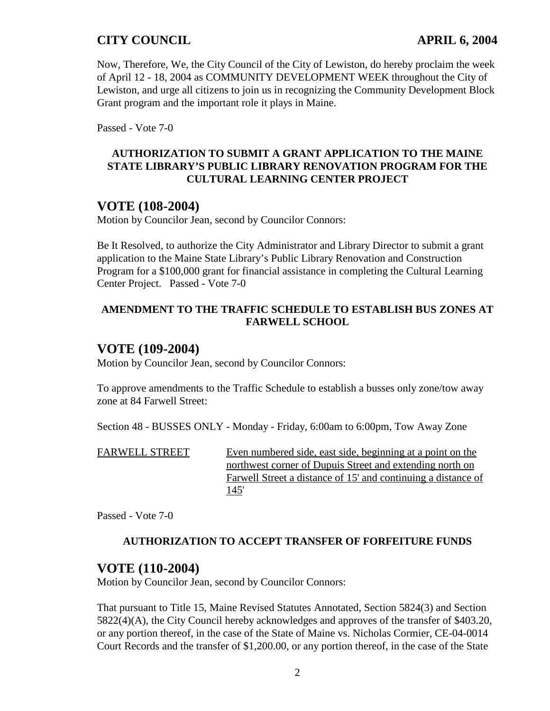Now, Therefore, We, the City Council of the City of Lewiston, do hereby proclaim the week of April 12 - 18, 2004 as COMMUNITY DEVELOPMENT WEEK throughout the City of Lewiston, and urge all citizens to join us in recognizing the Community Development Block Grant program and the important role it plays in Maine.

Passed - Vote 7-0

#### **AUTHORIZATION TO SUBMIT A GRANT APPLICATION TO THE MAINE STATE LIBRARY'S PUBLIC LIBRARY RENOVATION PROGRAM FOR THE CULTURAL LEARNING CENTER PROJECT**

## **VOTE (108-2004)**

Motion by Councilor Jean, second by Councilor Connors:

Be It Resolved, to authorize the City Administrator and Library Director to submit a grant application to the Maine State Library's Public Library Renovation and Construction Program for a \$100,000 grant for financial assistance in completing the Cultural Learning Center Project. Passed - Vote 7-0

#### **AMENDMENT TO THE TRAFFIC SCHEDULE TO ESTABLISH BUS ZONES AT FARWELL SCHOOL**

## **VOTE (109-2004)**

Motion by Councilor Jean, second by Councilor Connors:

To approve amendments to the Traffic Schedule to establish a busses only zone/tow away zone at 84 Farwell Street:

Section 48 - BUSSES ONLY - Monday - Friday, 6:00am to 6:00pm, Tow Away Zone

FARWELL STREET Even numbered side, east side, beginning at a point on the northwest corner of Dupuis Street and extending north on Farwell Street a distance of 15' and continuing a distance of 145'

Passed - Vote 7-0

## **AUTHORIZATION TO ACCEPT TRANSFER OF FORFEITURE FUNDS**

## **VOTE (110-2004)**

Motion by Councilor Jean, second by Councilor Connors:

That pursuant to Title 15, Maine Revised Statutes Annotated, Section 5824(3) and Section 5822(4)(A), the City Council hereby acknowledges and approves of the transfer of \$403.20, or any portion thereof, in the case of the State of Maine vs. Nicholas Cormier, CE-04-0014 Court Records and the transfer of \$1,200.00, or any portion thereof, in the case of the State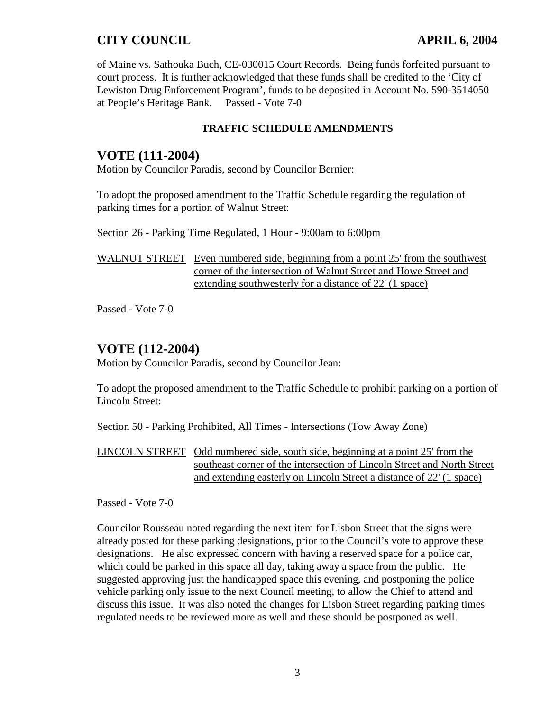of Maine vs. Sathouka Buch, CE-030015 Court Records. Being funds forfeited pursuant to court process. It is further acknowledged that these funds shall be credited to the 'City of Lewiston Drug Enforcement Program', funds to be deposited in Account No. 590-3514050 at People's Heritage Bank. Passed - Vote 7-0

#### **TRAFFIC SCHEDULE AMENDMENTS**

## **VOTE (111-2004)**

Motion by Councilor Paradis, second by Councilor Bernier:

To adopt the proposed amendment to the Traffic Schedule regarding the regulation of parking times for a portion of Walnut Street:

Section 26 - Parking Time Regulated, 1 Hour - 9:00am to 6:00pm

WALNUT STREET Even numbered side, beginning from a point 25' from the southwest corner of the intersection of Walnut Street and Howe Street and extending southwesterly for a distance of 22' (1 space)

Passed - Vote 7-0

# **VOTE (112-2004)**

Motion by Councilor Paradis, second by Councilor Jean:

To adopt the proposed amendment to the Traffic Schedule to prohibit parking on a portion of Lincoln Street:

Section 50 - Parking Prohibited, All Times - Intersections (Tow Away Zone)

LINCOLN STREET Odd numbered side, south side, beginning at a point 25' from the southeast corner of the intersection of Lincoln Street and North Street and extending easterly on Lincoln Street a distance of 22' (1 space)

Passed - Vote 7-0

Councilor Rousseau noted regarding the next item for Lisbon Street that the signs were already posted for these parking designations, prior to the Council's vote to approve these designations. He also expressed concern with having a reserved space for a police car, which could be parked in this space all day, taking away a space from the public. He suggested approving just the handicapped space this evening, and postponing the police vehicle parking only issue to the next Council meeting, to allow the Chief to attend and discuss this issue. It was also noted the changes for Lisbon Street regarding parking times regulated needs to be reviewed more as well and these should be postponed as well.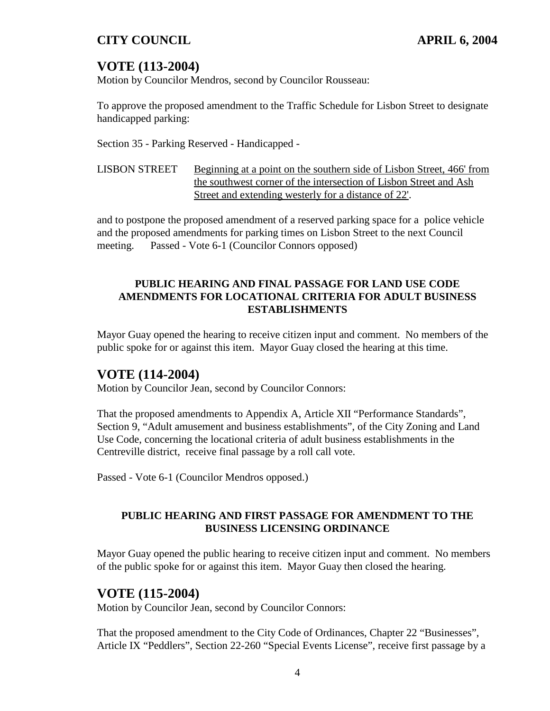# **VOTE (113-2004)**

Motion by Councilor Mendros, second by Councilor Rousseau:

To approve the proposed amendment to the Traffic Schedule for Lisbon Street to designate handicapped parking:

Section 35 - Parking Reserved - Handicapped -

LISBON STREET Beginning at a point on the southern side of Lisbon Street, 466' from the southwest corner of the intersection of Lisbon Street and Ash Street and extending westerly for a distance of 22'.

and to postpone the proposed amendment of a reserved parking space for a police vehicle and the proposed amendments for parking times on Lisbon Street to the next Council meeting. Passed - Vote 6-1 (Councilor Connors opposed)

### **PUBLIC HEARING AND FINAL PASSAGE FOR LAND USE CODE AMENDMENTS FOR LOCATIONAL CRITERIA FOR ADULT BUSINESS ESTABLISHMENTS**

Mayor Guay opened the hearing to receive citizen input and comment. No members of the public spoke for or against this item. Mayor Guay closed the hearing at this time.

# **VOTE (114-2004)**

Motion by Councilor Jean, second by Councilor Connors:

That the proposed amendments to Appendix A, Article XII "Performance Standards", Section 9, "Adult amusement and business establishments", of the City Zoning and Land Use Code, concerning the locational criteria of adult business establishments in the Centreville district, receive final passage by a roll call vote.

Passed - Vote 6-1 (Councilor Mendros opposed.)

### **PUBLIC HEARING AND FIRST PASSAGE FOR AMENDMENT TO THE BUSINESS LICENSING ORDINANCE**

Mayor Guay opened the public hearing to receive citizen input and comment. No members of the public spoke for or against this item. Mayor Guay then closed the hearing.

# **VOTE (115-2004)**

Motion by Councilor Jean, second by Councilor Connors:

That the proposed amendment to the City Code of Ordinances, Chapter 22 "Businesses", Article IX "Peddlers", Section 22-260 "Special Events License", receive first passage by a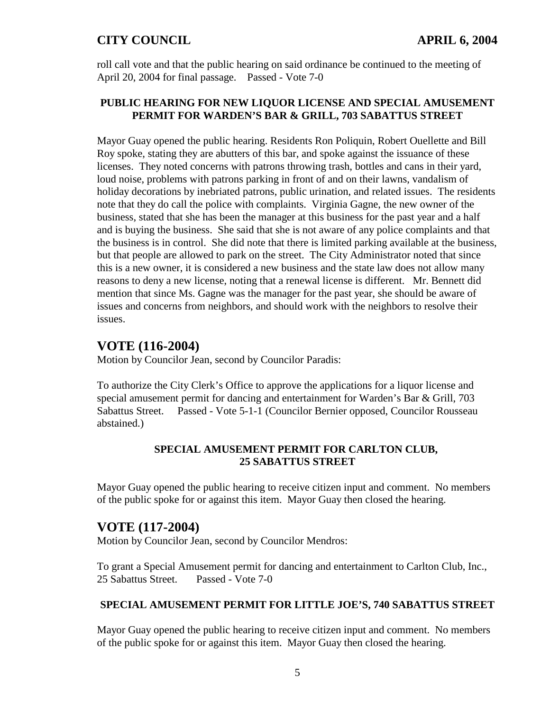roll call vote and that the public hearing on said ordinance be continued to the meeting of April 20, 2004 for final passage. Passed - Vote 7-0

#### **PUBLIC HEARING FOR NEW LIQUOR LICENSE AND SPECIAL AMUSEMENT PERMIT FOR WARDEN'S BAR & GRILL, 703 SABATTUS STREET**

Mayor Guay opened the public hearing. Residents Ron Poliquin, Robert Ouellette and Bill Roy spoke, stating they are abutters of this bar, and spoke against the issuance of these licenses. They noted concerns with patrons throwing trash, bottles and cans in their yard, loud noise, problems with patrons parking in front of and on their lawns, vandalism of holiday decorations by inebriated patrons, public urination, and related issues. The residents note that they do call the police with complaints. Virginia Gagne, the new owner of the business, stated that she has been the manager at this business for the past year and a half and is buying the business. She said that she is not aware of any police complaints and that the business is in control. She did note that there is limited parking available at the business, but that people are allowed to park on the street. The City Administrator noted that since this is a new owner, it is considered a new business and the state law does not allow many reasons to deny a new license, noting that a renewal license is different. Mr. Bennett did mention that since Ms. Gagne was the manager for the past year, she should be aware of issues and concerns from neighbors, and should work with the neighbors to resolve their issues.

## **VOTE (116-2004)**

Motion by Councilor Jean, second by Councilor Paradis:

To authorize the City Clerk's Office to approve the applications for a liquor license and special amusement permit for dancing and entertainment for Warden's Bar & Grill, 703 Sabattus Street. Passed - Vote 5-1-1 (Councilor Bernier opposed, Councilor Rousseau abstained.)

#### **SPECIAL AMUSEMENT PERMIT FOR CARLTON CLUB, 25 SABATTUS STREET**

Mayor Guay opened the public hearing to receive citizen input and comment. No members of the public spoke for or against this item. Mayor Guay then closed the hearing.

## **VOTE (117-2004)**

Motion by Councilor Jean, second by Councilor Mendros:

To grant a Special Amusement permit for dancing and entertainment to Carlton Club, Inc., 25 Sabattus Street. Passed - Vote 7-0

#### **SPECIAL AMUSEMENT PERMIT FOR LITTLE JOE'S, 740 SABATTUS STREET**

Mayor Guay opened the public hearing to receive citizen input and comment. No members of the public spoke for or against this item. Mayor Guay then closed the hearing.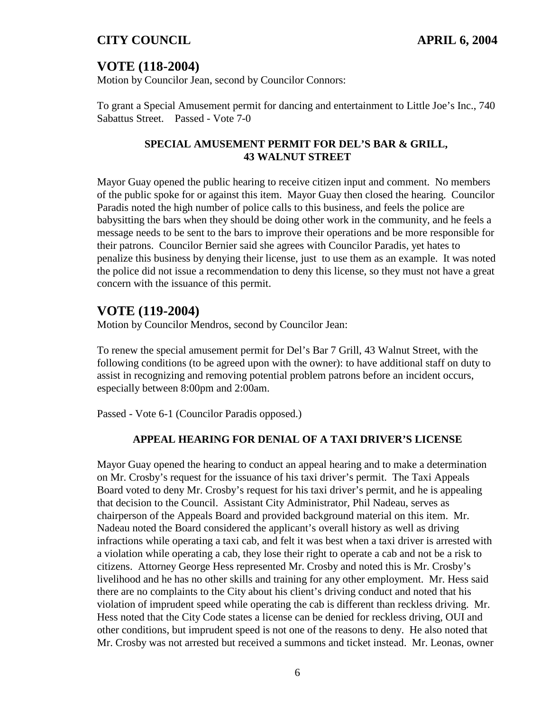# **VOTE (118-2004)**

Motion by Councilor Jean, second by Councilor Connors:

To grant a Special Amusement permit for dancing and entertainment to Little Joe's Inc., 740 Sabattus Street. Passed - Vote 7-0

#### **SPECIAL AMUSEMENT PERMIT FOR DEL'S BAR & GRILL, 43 WALNUT STREET**

Mayor Guay opened the public hearing to receive citizen input and comment. No members of the public spoke for or against this item. Mayor Guay then closed the hearing. Councilor Paradis noted the high number of police calls to this business, and feels the police are babysitting the bars when they should be doing other work in the community, and he feels a message needs to be sent to the bars to improve their operations and be more responsible for their patrons. Councilor Bernier said she agrees with Councilor Paradis, yet hates to penalize this business by denying their license, just to use them as an example. It was noted the police did not issue a recommendation to deny this license, so they must not have a great concern with the issuance of this permit.

# **VOTE (119-2004)**

Motion by Councilor Mendros, second by Councilor Jean:

To renew the special amusement permit for Del's Bar 7 Grill, 43 Walnut Street, with the following conditions (to be agreed upon with the owner): to have additional staff on duty to assist in recognizing and removing potential problem patrons before an incident occurs, especially between 8:00pm and 2:00am.

Passed - Vote 6-1 (Councilor Paradis opposed.)

#### **APPEAL HEARING FOR DENIAL OF A TAXI DRIVER'S LICENSE**

Mayor Guay opened the hearing to conduct an appeal hearing and to make a determination on Mr. Crosby's request for the issuance of his taxi driver's permit. The Taxi Appeals Board voted to deny Mr. Crosby's request for his taxi driver's permit, and he is appealing that decision to the Council. Assistant City Administrator, Phil Nadeau, serves as chairperson of the Appeals Board and provided background material on this item. Mr. Nadeau noted the Board considered the applicant's overall history as well as driving infractions while operating a taxi cab, and felt it was best when a taxi driver is arrested with a violation while operating a cab, they lose their right to operate a cab and not be a risk to citizens. Attorney George Hess represented Mr. Crosby and noted this is Mr. Crosby's livelihood and he has no other skills and training for any other employment. Mr. Hess said there are no complaints to the City about his client's driving conduct and noted that his violation of imprudent speed while operating the cab is different than reckless driving. Mr. Hess noted that the City Code states a license can be denied for reckless driving, OUI and other conditions, but imprudent speed is not one of the reasons to deny. He also noted that Mr. Crosby was not arrested but received a summons and ticket instead. Mr. Leonas, owner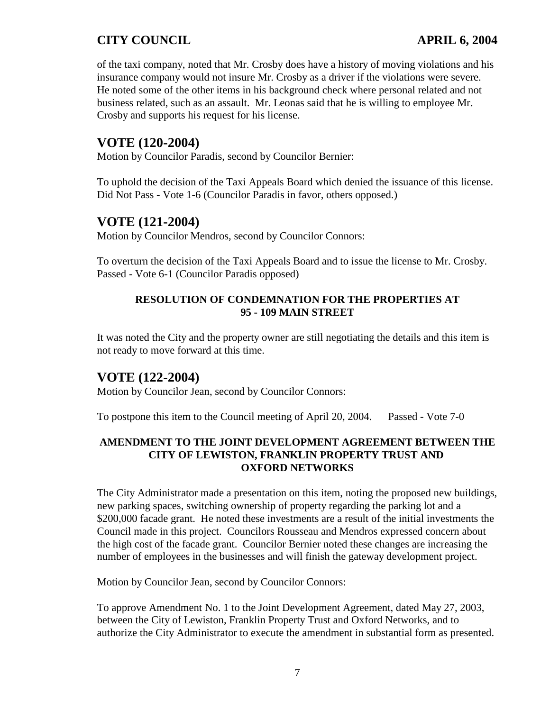of the taxi company, noted that Mr. Crosby does have a history of moving violations and his insurance company would not insure Mr. Crosby as a driver if the violations were severe. He noted some of the other items in his background check where personal related and not business related, such as an assault. Mr. Leonas said that he is willing to employee Mr. Crosby and supports his request for his license.

# **VOTE (120-2004)**

Motion by Councilor Paradis, second by Councilor Bernier:

To uphold the decision of the Taxi Appeals Board which denied the issuance of this license. Did Not Pass - Vote 1-6 (Councilor Paradis in favor, others opposed.)

# **VOTE (121-2004)**

Motion by Councilor Mendros, second by Councilor Connors:

To overturn the decision of the Taxi Appeals Board and to issue the license to Mr. Crosby. Passed - Vote 6-1 (Councilor Paradis opposed)

#### **RESOLUTION OF CONDEMNATION FOR THE PROPERTIES AT 95 - 109 MAIN STREET**

It was noted the City and the property owner are still negotiating the details and this item is not ready to move forward at this time.

# **VOTE (122-2004)**

Motion by Councilor Jean, second by Councilor Connors:

To postpone this item to the Council meeting of April 20, 2004. Passed - Vote 7-0

#### **AMENDMENT TO THE JOINT DEVELOPMENT AGREEMENT BETWEEN THE CITY OF LEWISTON, FRANKLIN PROPERTY TRUST AND OXFORD NETWORKS**

The City Administrator made a presentation on this item, noting the proposed new buildings, new parking spaces, switching ownership of property regarding the parking lot and a \$200,000 facade grant. He noted these investments are a result of the initial investments the Council made in this project. Councilors Rousseau and Mendros expressed concern about the high cost of the facade grant. Councilor Bernier noted these changes are increasing the number of employees in the businesses and will finish the gateway development project.

Motion by Councilor Jean, second by Councilor Connors:

To approve Amendment No. 1 to the Joint Development Agreement, dated May 27, 2003, between the City of Lewiston, Franklin Property Trust and Oxford Networks, and to authorize the City Administrator to execute the amendment in substantial form as presented.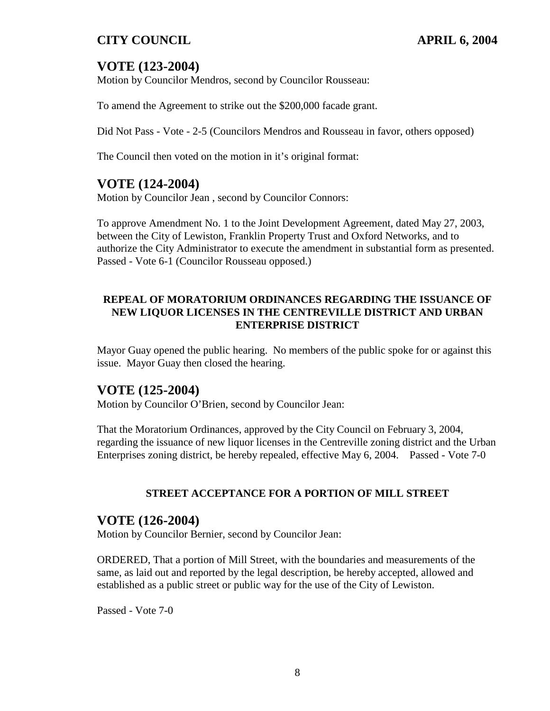# **VOTE (123-2004)**

Motion by Councilor Mendros, second by Councilor Rousseau:

To amend the Agreement to strike out the \$200,000 facade grant.

Did Not Pass - Vote - 2-5 (Councilors Mendros and Rousseau in favor, others opposed)

The Council then voted on the motion in it's original format:

## **VOTE (124-2004)**

Motion by Councilor Jean , second by Councilor Connors:

To approve Amendment No. 1 to the Joint Development Agreement, dated May 27, 2003, between the City of Lewiston, Franklin Property Trust and Oxford Networks, and to authorize the City Administrator to execute the amendment in substantial form as presented. Passed - Vote 6-1 (Councilor Rousseau opposed.)

#### **REPEAL OF MORATORIUM ORDINANCES REGARDING THE ISSUANCE OF NEW LIQUOR LICENSES IN THE CENTREVILLE DISTRICT AND URBAN ENTERPRISE DISTRICT**

Mayor Guay opened the public hearing. No members of the public spoke for or against this issue. Mayor Guay then closed the hearing.

## **VOTE (125-2004)**

Motion by Councilor O'Brien, second by Councilor Jean:

That the Moratorium Ordinances, approved by the City Council on February 3, 2004, regarding the issuance of new liquor licenses in the Centreville zoning district and the Urban Enterprises zoning district, be hereby repealed, effective May 6, 2004. Passed - Vote 7-0

#### **STREET ACCEPTANCE FOR A PORTION OF MILL STREET**

#### **VOTE (126-2004)**

Motion by Councilor Bernier, second by Councilor Jean:

ORDERED, That a portion of Mill Street, with the boundaries and measurements of the same, as laid out and reported by the legal description, be hereby accepted, allowed and established as a public street or public way for the use of the City of Lewiston.

Passed - Vote 7-0